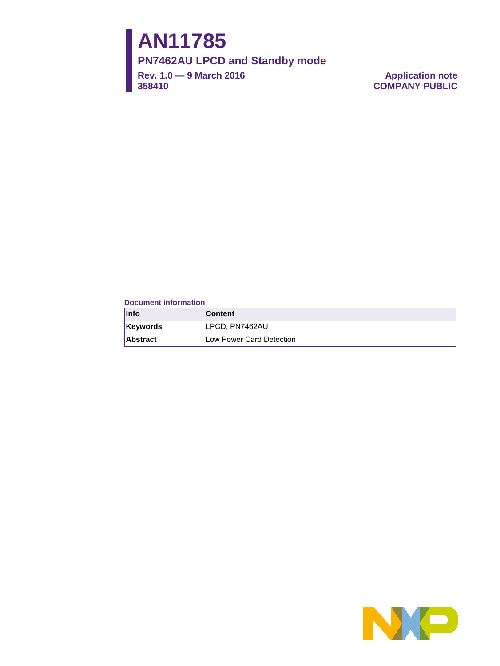# **AN11785**

**PN7462AU LPCD and Standby mode**

**Rev. 1.0 — 9 March 2016 358410**

**Application note COMPANY PUBLIC**

#### **Document information**

| <b>Info</b>     | <b>Content</b>           |
|-----------------|--------------------------|
| <b>Keywords</b> | LPCD. PN7462AU           |
| <b>Abstract</b> | Low Power Card Detection |

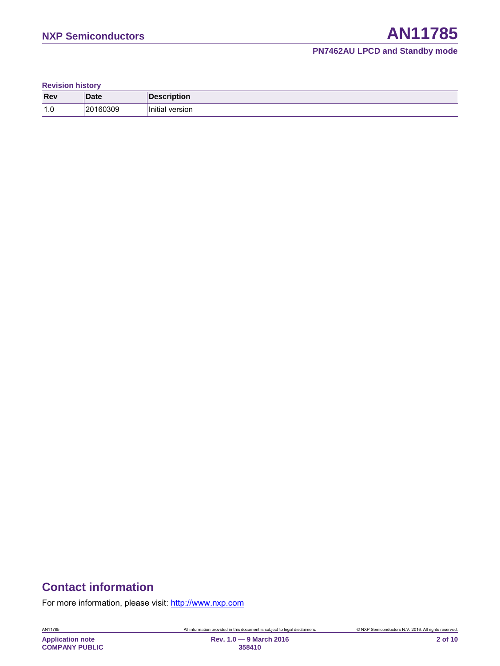#### **PN7462AU LPCD and Standby mode**

**Revision history**

| <b>Rev</b>      | <b>Date</b> | escription             |
|-----------------|-------------|------------------------|
| $^{\prime}$ 1.0 | 20160309    | .<br>Initia<br>version |

# **Contact information**

For more information, please visit: http://www.nxp.com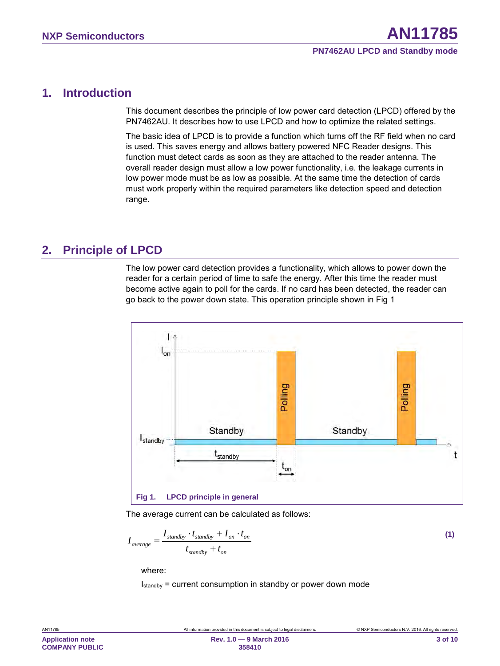# <span id="page-2-1"></span>**1. Introduction**

This document describes the principle of low power card detection (LPCD) offered by the PN7462AU. It describes how to use LPCD and how to optimize the related settings.

The basic idea of LPCD is to provide a function which turns off the RF field when no card is used. This saves energy and allows battery powered NFC Reader designs. This function must detect cards as soon as they are attached to the reader antenna. The overall reader design must allow a low power functionality, i.e. the leakage currents in low power mode must be as low as possible. At the same time the detection of cards must work properly within the required parameters like detection speed and detection range.

# <span id="page-2-2"></span>**2. Principle of LPCD**

The low power card detection provides a functionality, which allows to power down the reader for a certain period of time to safe the energy. After this time the reader must become active again to poll for the cards. If no card has been detected, the reader can go back to the power down state. This operation principle shown in [Fig 1](#page-2-0)



<span id="page-2-0"></span>The average current can be calculated as follows:

$$
I_{average} = \frac{I_{standby} \cdot t_{standby} + I_{on} \cdot t_{on}}{t_{standby} + t_{on}}
$$
\n(1)

where:

Istandby = current consumption in standby or power down mode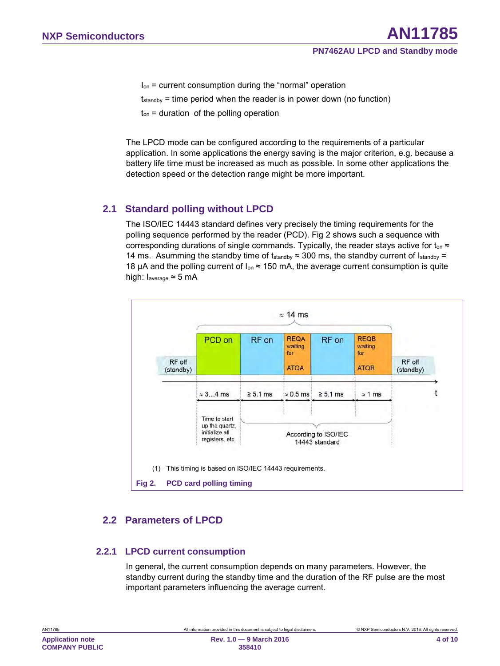- Ion = current consumption during the "normal" operation
- $t_{\text{standby}}$  = time period when the reader is in power down (no function)
- $t_{on}$  = duration of the polling operation

The LPCD mode can be configured according to the requirements of a particular application. In some applications the energy saving is the major criterion, e.g. because a battery life time must be increased as much as possible. In some other applications the detection speed or the detection range might be more important.

### <span id="page-3-1"></span>**2.1 Standard polling without LPCD**

The ISO/IEC 14443 standard defines very precisely the timing requirements for the polling sequence performed by the reader (PCD). [Fig 2](#page-3-0) shows such a sequence with corresponding durations of single commands. Typically, the reader stays active for  $t_{on} \approx$ 14 ms. Asumming the standby time of tstandby  $\approx$  300 ms, the standby current of Istandby = 18 µA and the polling current of  $I_{on} \approx 150$  mA, the average current consumption is quite high: Iaverage ≈ 5 mA



### <span id="page-3-2"></span><span id="page-3-0"></span>**2.2 Parameters of LPCD**

#### **2.2.1 LPCD current consumption**

<span id="page-3-3"></span>In general, the current consumption depends on many parameters. However, the standby current during the standby time and the duration of the RF pulse are the most important parameters influencing the average current.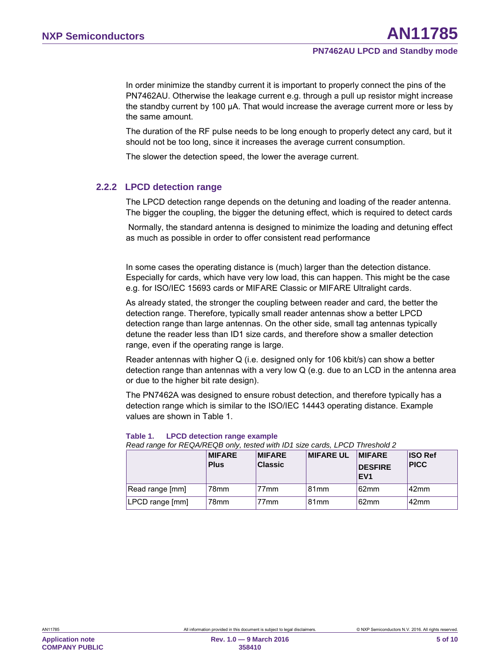In order minimize the standby current it is important to properly connect the pins of the PN7462AU. Otherwise the leakage current e.g. through a pull up resistor might increase the standby current by 100 µA. That would increase the average current more or less by the same amount.

The duration of the RF pulse needs to be long enough to properly detect any card, but it should not be too long, since it increases the average current consumption.

The slower the detection speed, the lower the average current.

#### **2.2.2 LPCD detection range**

<span id="page-4-1"></span>The LPCD detection range depends on the detuning and loading of the reader antenna. The bigger the coupling, the bigger the detuning effect, which is required to detect cards

Normally, the standard antenna is designed to minimize the loading and detuning effect as much as possible in order to offer consistent read performance

In some cases the operating distance is (much) larger than the detection distance. Especially for cards, which have very low load, this can happen. This might be the case e.g. for ISO/IEC 15693 cards or MIFARE Classic or MIFARE Ultralight cards.

As already stated, the stronger the coupling between reader and card, the better the detection range. Therefore, typically small reader antennas show a better LPCD detection range than large antennas. On the other side, small tag antennas typically detune the reader less than ID1 size cards, and therefore show a smaller detection range, even if the operating range is large.

Reader antennas with higher Q (i.e. designed only for 106 kbit/s) can show a better detection range than antennas with a very low Q (e.g. due to an LCD in the antenna area or due to the higher bit rate design).

The PN7462A was designed to ensure robust detection, and therefore typically has a detection range which is similar to the ISO/IEC 14443 operating distance. Example values are shown in [Table 1.](#page-4-0)

#### <span id="page-4-0"></span>**Table 1. LPCD detection range example**

*Read range for REQA/REQB only, tested with ID1 size cards, LPCD Threshold 2*

|                 | <b>MIFARE</b><br><b>Plus</b> | <b>MIFARE</b><br><b>Classic</b> | <b>MIFARE UL</b> | <b>IMIFARE</b><br><b>DESFIRE</b><br><b>EV1</b> | <b>ISO Ref</b><br><b>PICC</b> |
|-----------------|------------------------------|---------------------------------|------------------|------------------------------------------------|-------------------------------|
| Read range [mm] | 78mm                         | 77 <sub>mm</sub>                | 81mm             | 62 <sub>mm</sub>                               | 42mm                          |
| LPCD range [mm] | 78mm                         | 77 <sub>mm</sub>                | 81mm             | 62 <sub>mm</sub>                               | 42mm                          |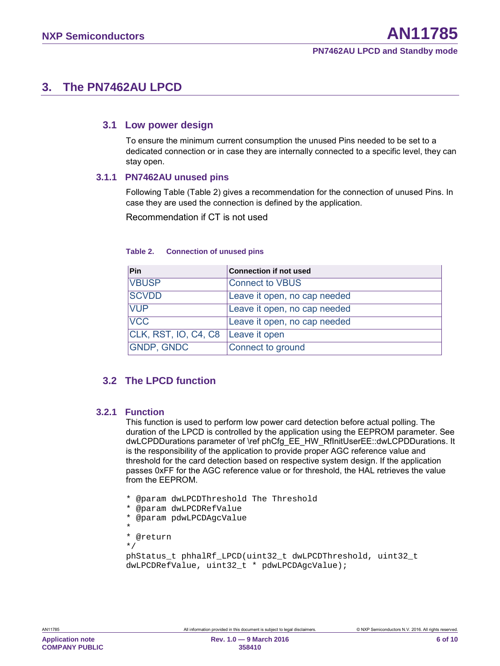# <span id="page-5-1"></span>**3. The PN7462AU LPCD**

#### <span id="page-5-2"></span>**3.1 Low power design**

To ensure the minimum current consumption the unused Pins needed to be set to a dedicated connection or in case they are internally connected to a specific level, they can stay open.

#### **3.1.1 PN7462AU unused pins**

<span id="page-5-3"></span>Following Table [\(Table 2\)](#page-5-0) gives a recommendation for the connection of unused Pins. In case they are used the connection is defined by the application.

Recommendation if CT is not used

| Pin                                | <b>Connection if not used</b> |
|------------------------------------|-------------------------------|
| <b>VBUSP</b>                       | <b>Connect to VBUS</b>        |
| <b>SCVDD</b>                       | Leave it open, no cap needed  |
| <b>VUP</b>                         | Leave it open, no cap needed  |
| <b>VCC</b>                         | Leave it open, no cap needed  |
| CLK, RST, IO, C4, C8 Leave it open |                               |
| <b>GNDP, GNDC</b>                  | Connect to ground             |

#### <span id="page-5-0"></span>**Table 2. Connection of unused pins**

# <span id="page-5-4"></span>**3.2 The LPCD function**

#### **3.2.1 Function**

<span id="page-5-5"></span>This function is used to perform low power card detection before actual polling. The duration of the LPCD is controlled by the application using the EEPROM parameter. See dwLCPDDurations parameter of \ref phCfg\_EE\_HW\_RfInitUserEE::dwLCPDDurations. It is the responsibility of the application to provide proper AGC reference value and threshold for the card detection based on respective system design. If the application passes 0xFF for the AGC reference value or for threshold, the HAL retrieves the value from the EEPROM.

- \* @param dwLPCDThreshold The Threshold
- \* @param dwLPCDRefValue
- @param pdwLPCDAqcValue
- \* \* @return

\*/

```
phStatus_t phhalRf_LPCD(uint32_t dwLPCDThreshold, uint32_t 
dwLPCDRefValue, uint32_t * pdwLPCDAgcValue);
```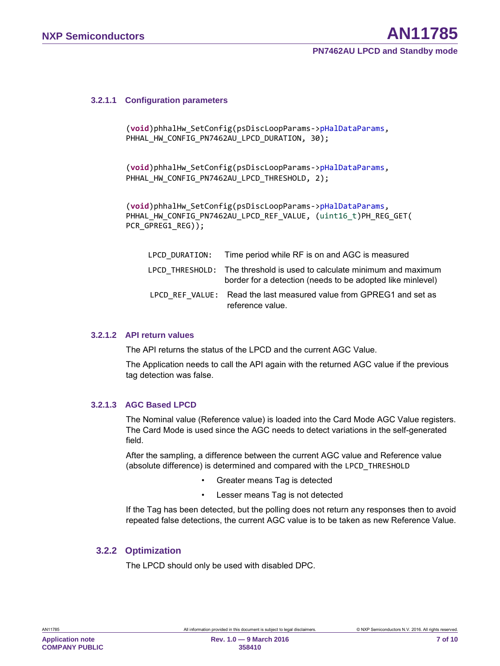#### **3.2.1.1 Configuration parameters**

```
(void)phhalHw_SetConfig(psDiscLoopParams->pHalDataParams, 
PHHAL HW CONFIG PN7462AU LPCD DURATION, 30);
```
(**void**)phhalHw\_SetConfig(psDiscLoopParams->pHalDataParams, PHHAL\_HW\_CONFIG\_PN7462AU\_LPCD\_THRESHOLD, 2);

(**void**)phhalHw\_SetConfig(psDiscLoopParams->pHalDataParams, PHHAL\_HW\_CONFIG\_PN7462AU\_LPCD\_REF\_VALUE, (uint16\_t)PH\_REG\_GET( PCR\_GPREG1\_REG));

| LPCD DURATION: Time period while RF is on and AGC is measured                                                                        |
|--------------------------------------------------------------------------------------------------------------------------------------|
| LPCD THRESHOLD: The threshold is used to calculate minimum and maximum<br>border for a detection (needs to be adopted like minlevel) |
| LPCD REF VALUE: Read the last measured value from GPREG1 and set as<br>reference value.                                              |

#### **3.2.1.2 API return values**

<span id="page-6-1"></span>The API returns the status of the LPCD and the current AGC Value.

The Application needs to call the API again with the returned AGC value if the previous tag detection was false.

#### **3.2.1.3 AGC Based LPCD**

<span id="page-6-2"></span>The Nominal value (Reference value) is loaded into the Card Mode AGC Value registers. The Card Mode is used since the AGC needs to detect variations in the self-generated field.

After the sampling, a difference between the current AGC value and Reference value (absolute difference) is determined and compared with the LPCD\_THRESHOLD

- Greater means Tag is detected
- Lesser means Tag is not detected

If the Tag has been detected, but the polling does not return any responses then to avoid repeated false detections, the current AGC value is to be taken as new Reference Value.

#### **3.2.2 Optimization**

<span id="page-6-3"></span>The LPCD should only be used with disabled DPC.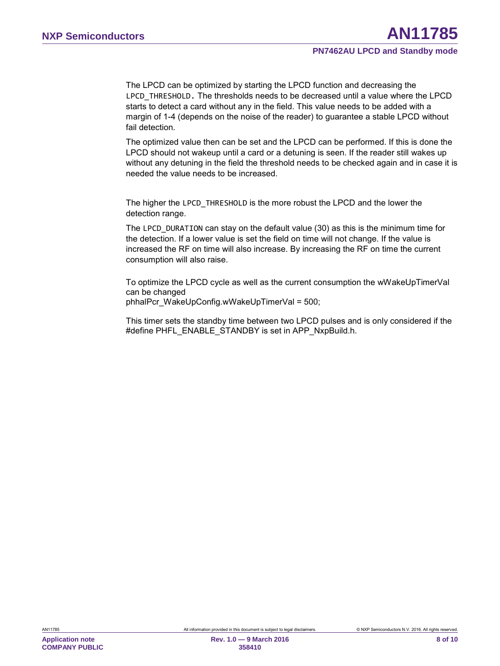The LPCD can be optimized by starting the LPCD function and decreasing the LPCD THRESHOLD. The thresholds needs to be decreased until a value where the LPCD starts to detect a card without any in the field. This value needs to be added with a margin of 1-4 (depends on the noise of the reader) to guarantee a stable LPCD without fail detection.

The optimized value then can be set and the LPCD can be performed. If this is done the LPCD should not wakeup until a card or a detuning is seen. If the reader still wakes up without any detuning in the field the threshold needs to be checked again and in case it is needed the value needs to be increased.

The higher the LPCD\_THRESHOLD is the more robust the LPCD and the lower the detection range.

The LPCD\_DURATION can stay on the default value (30) as this is the minimum time for the detection. If a lower value is set the field on time will not change. If the value is increased the RF on time will also increase. By increasing the RF on time the current consumption will also raise.

To optimize the LPCD cycle as well as the current consumption the wWakeUpTimerVal can be changed phhalPcr\_WakeUpConfig.wWakeUpTimerVal = 500;

This timer sets the standby time between two LPCD pulses and is only considered if the #define PHFL\_ENABLE\_STANDBY is set in APP\_NxpBuild.h.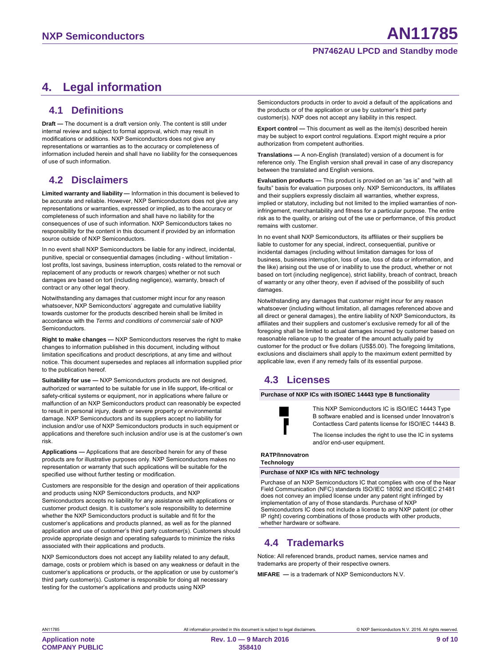#### **PN7462AU LPCD and Standby mode**

# <span id="page-8-0"></span>**4. Legal information**

#### <span id="page-8-1"></span>**4.1 Definitions**

**Draft —** The document is a draft version only. The content is still under internal review and subject to formal approval, which may result in modifications or additions. NXP Semiconductors does not give any representations or warranties as to the accuracy or completeness of information included herein and shall have no liability for the consequences of use of such information.

### <span id="page-8-2"></span>**4.2 Disclaimers**

**Limited warranty and liability —** Information in this document is believed to be accurate and reliable. However, NXP Semiconductors does not give any representations or warranties, expressed or implied, as to the accuracy or completeness of such information and shall have no liability for the consequences of use of such information. NXP Semiconductors takes no responsibility for the content in this document if provided by an information source outside of NXP Semiconductors.

In no event shall NXP Semiconductors be liable for any indirect, incidental, punitive, special or consequential damages (including - without limitation lost profits, lost savings, business interruption, costs related to the removal or replacement of any products or rework charges) whether or not such damages are based on tort (including negligence), warranty, breach of contract or any other legal theory.

Notwithstanding any damages that customer might incur for any reason whatsoever, NXP Semiconductors' aggregate and cumulative liability towards customer for the products described herein shall be limited in accordance with the *Terms and conditions of commercial sale* of NXP **Semiconductors** 

**Right to make changes —** NXP Semiconductors reserves the right to make changes to information published in this document, including without limitation specifications and product descriptions, at any time and without notice. This document supersedes and replaces all information supplied prior to the publication hereof.

**Suitability for use —** NXP Semiconductors products are not designed, authorized or warranted to be suitable for use in life support, life-critical or safety-critical systems or equipment, nor in applications where failure or malfunction of an NXP Semiconductors product can reasonably be expected to result in personal injury, death or severe property or environmental damage. NXP Semiconductors and its suppliers accept no liability for inclusion and/or use of NXP Semiconductors products in such equipment or applications and therefore such inclusion and/or use is at the customer's own risk.

**Applications —** Applications that are described herein for any of these products are for illustrative purposes only. NXP Semiconductors makes no representation or warranty that such applications will be suitable for the specified use without further testing or modification.

Customers are responsible for the design and operation of their applications and products using NXP Semiconductors products, and NXP Semiconductors accepts no liability for any assistance with applications or customer product design. It is customer's sole responsibility to determine whether the NXP Semiconductors product is suitable and fit for the customer's applications and products planned, as well as for the planned application and use of customer's third party customer(s). Customers should provide appropriate design and operating safeguards to minimize the risks associated with their applications and products.

NXP Semiconductors does not accept any liability related to any default, damage, costs or problem which is based on any weakness or default in the customer's applications or products, or the application or use by customer's third party customer(s). Customer is responsible for doing all necessary testing for the customer's applications and products using NXP

Semiconductors products in order to avoid a default of the applications and the products or of the application or use by customer's third party customer(s). NXP does not accept any liability in this respect.

**Export control —** This document as well as the item(s) described herein may be subject to export control regulations. Export might require a prior authorization from competent authorities.

**Translations —** A non-English (translated) version of a document is for reference only. The English version shall prevail in case of any discrepancy between the translated and English versions.

**Evaluation products —** This product is provided on an "as is" and "with all faults" basis for evaluation purposes only. NXP Semiconductors, its affiliates and their suppliers expressly disclaim all warranties, whether express, implied or statutory, including but not limited to the implied warranties of noninfringement, merchantability and fitness for a particular purpose. The entire risk as to the quality, or arising out of the use or performance, of this product remains with customer.

In no event shall NXP Semiconductors, its affiliates or their suppliers be liable to customer for any special, indirect, consequential, punitive or incidental damages (including without limitation damages for loss of business, business interruption, loss of use, loss of data or information, and the like) arising out the use of or inability to use the product, whether or not based on tort (including negligence), strict liability, breach of contract, breach of warranty or any other theory, even if advised of the possibility of such damages.

Notwithstanding any damages that customer might incur for any reason whatsoever (including without limitation, all damages referenced above and all direct or general damages), the entire liability of NXP Semiconductors, its affiliates and their suppliers and customer's exclusive remedy for all of the foregoing shall be limited to actual damages incurred by customer based on reasonable reliance up to the greater of the amount actually paid by customer for the product or five dollars (US\$5.00). The foregoing limitations, exclusions and disclaimers shall apply to the maximum extent permitted by applicable law, even if any remedy fails of its essential purpose.

# <span id="page-8-3"></span>**4.3 Licenses**

**Purchase of NXP ICs with ISO/IEC 14443 type B functionality**



This NXP Semiconductors IC is ISO/IEC 14443 Type B software enabled and is licensed under Innovatron's Contactless Card patents license for ISO/IEC 14443 B.

The license includes the right to use the IC in systems and/or end-user equipment.

#### **RATP/Innovatron Technology**

**Purchase of NXP ICs with NFC technology**

Purchase of an NXP Semiconductors IC that complies with one of the Near Field Communication (NFC) standards ISO/IEC 18092 and ISO/IEC 21481 does not convey an implied license under any patent right infringed by implementation of any of those standards. Purchase of NXP Semiconductors IC does not include a license to any NXP patent (or other IP right) covering combinations of those products with other products, whether hardware or software.

# <span id="page-8-4"></span>**4.4 Trademarks**

Notice: All referenced brands, product names, service names and trademarks are property of their respective owners.

**MIFARE —** is a trademark of NXP Semiconductors N.V.